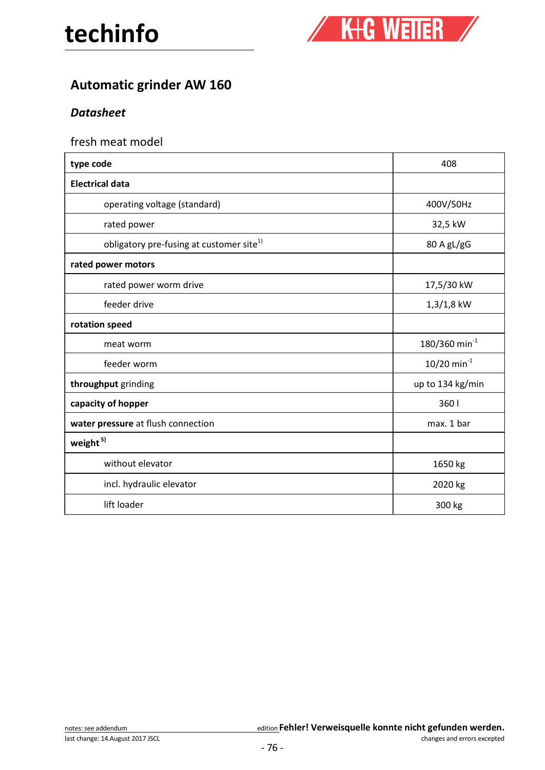

# Automatic grinder AW 160

### **Datasheet**

### fresh meat model

| type code                                            | 408                         |
|------------------------------------------------------|-----------------------------|
| <b>Electrical data</b>                               |                             |
| operating voltage (standard)                         | 400V/50Hz                   |
| rated power                                          | 32,5 kW                     |
| obligatory pre-fusing at customer site <sup>1)</sup> | 80 A gL/gG                  |
| rated power motors                                   |                             |
| rated power worm drive                               | 17,5/30 kW                  |
| feeder drive                                         | $1,3/1,8$ kW                |
| rotation speed                                       |                             |
| meat worm                                            | $180/360$ min <sup>-1</sup> |
| feeder worm                                          | $10/20$ min <sup>-1</sup>   |
| throughput grinding                                  | up to 134 kg/min            |
| capacity of hopper                                   | 360                         |
| water pressure at flush connection                   | max. 1 bar                  |
| weight <sup>5)</sup>                                 |                             |
| without elevator                                     | 1650 kg                     |
| incl. hydraulic elevator                             | 2020 kg                     |
| lift loader                                          | 300 kg                      |
|                                                      |                             |

|  | notes: see addendum |
|--|---------------------|
|  |                     |

#### edition Fehler! Verweisquelle konnte nicht gefunden werden.

last change: 14.August 2017 JSCL and the state of the state of the state of the state of the changes and errors excepted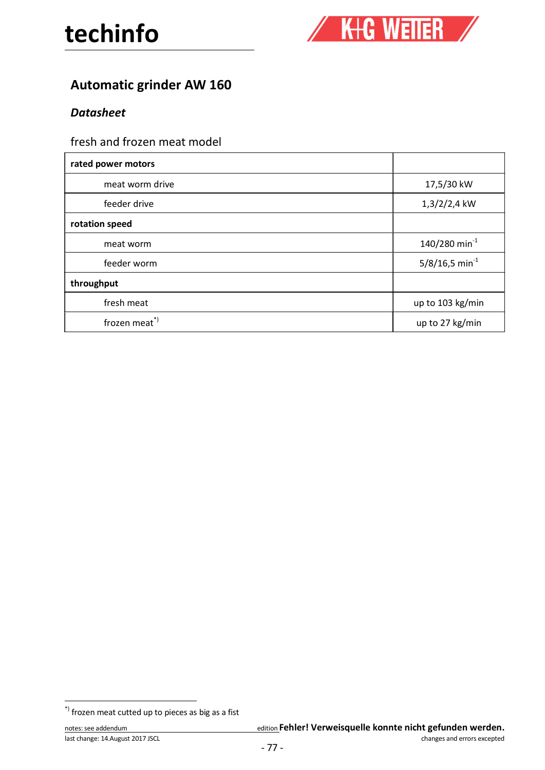

## Automatic grinder AW 160

### **Datasheet**

## fresh and frozen meat model

| rated power motors |                              |  |
|--------------------|------------------------------|--|
| meat worm drive    | 17,5/30 kW                   |  |
| feeder drive       | $1,3/2/2,4$ kW               |  |
| rotation speed     |                              |  |
| meat worm          | $140/280$ min <sup>-1</sup>  |  |
| feeder worm        | $5/8/16,5$ min <sup>-1</sup> |  |
| throughput         |                              |  |
| fresh meat         | up to 103 kg/min             |  |
| frozen meat*)      | up to 27 kg/min              |  |

 $\check{ }$ ) frozen meat cutted up to pieces as big as a fist

|  | notes: see addendum |  |  |  |  |  |
|--|---------------------|--|--|--|--|--|
|  |                     |  |  |  |  |  |

#### edition Fehler! Verweisquelle konnte nicht gefunden werden.

last change: 14.August 2017 JSCL and the state of the state of the state of the changes and errors excepted